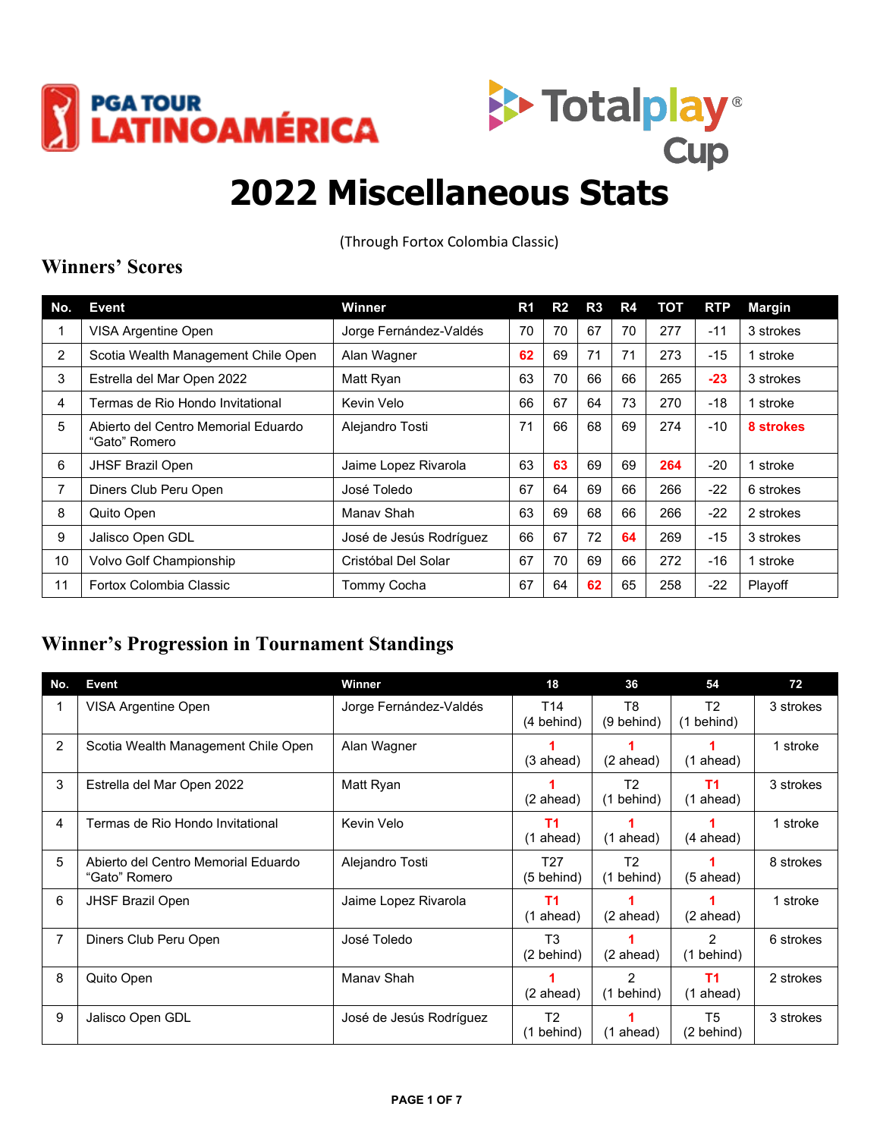



# **2022 Miscellaneous Stats**

(Through Fortox Colombia Classic)

#### **Winners' Scores**

| No.            | <b>Event</b>                                         | Winner                  | R1 | R <sub>2</sub> | R3 | R4 | тот | <b>RTP</b> | <b>Margin</b> |
|----------------|------------------------------------------------------|-------------------------|----|----------------|----|----|-----|------------|---------------|
|                | <b>VISA Argentine Open</b>                           | Jorge Fernández-Valdés  | 70 | 70             | 67 | 70 | 277 | $-11$      | 3 strokes     |
| $\overline{2}$ | Scotia Wealth Management Chile Open                  | Alan Wagner             | 62 | 69             | 71 | 71 | 273 | $-15$      | 1 stroke      |
| 3              | Estrella del Mar Open 2022                           | Matt Ryan               | 63 | 70             | 66 | 66 | 265 | $-23$      | 3 strokes     |
| 4              | Termas de Rio Hondo Invitational                     | Kevin Velo              | 66 | 67             | 64 | 73 | 270 | $-18$      | 1 stroke      |
| 5              | Abierto del Centro Memorial Eduardo<br>"Gato" Romero | Alejandro Tosti         | 71 | 66             | 68 | 69 | 274 | -10        | 8 strokes     |
| 6              | JHSF Brazil Open                                     | Jaime Lopez Rivarola    | 63 | 63             | 69 | 69 | 264 | $-20$      | 1 stroke      |
| 7              | Diners Club Peru Open                                | José Toledo             | 67 | 64             | 69 | 66 | 266 | $-22$      | 6 strokes     |
| 8              | Quito Open                                           | Manay Shah              | 63 | 69             | 68 | 66 | 266 | $-22$      | 2 strokes     |
| 9              | Jalisco Open GDL                                     | José de Jesús Rodríguez | 66 | 67             | 72 | 64 | 269 | $-15$      | 3 strokes     |
| 10             | Volvo Golf Championship                              | Cristóbal Del Solar     | 67 | 70             | 69 | 66 | 272 | -16        | 1 stroke      |
| 11             | Fortox Colombia Classic                              | Tommy Cocha             | 67 | 64             | 62 | 65 | 258 | $-22$      | Playoff       |

#### **Winner's Progression in Tournament Standings**

| No. | Event                                                | Winner                  | 18                                      | 36                             | 54                                    | 72        |
|-----|------------------------------------------------------|-------------------------|-----------------------------------------|--------------------------------|---------------------------------------|-----------|
|     | VISA Argentine Open                                  | Jorge Fernández-Valdés  | T <sub>14</sub><br>(4 behind)           | T <sub>8</sub><br>$(9$ behind) | T <sub>2</sub><br>(1 behind)          | 3 strokes |
| 2   | Scotia Wealth Management Chile Open                  | Alan Wagner             | $(3 \text{ ahead})$                     | (2 ahead)                      | $(1$ ahead)                           | 1 stroke  |
| 3   | Estrella del Mar Open 2022                           | Matt Ryan               | $(2 \text{ ahead})$                     | T <sub>2</sub><br>$(1$ behind) | T <sub>1</sub><br>(1 ahead)           | 3 strokes |
| 4   | Termas de Rio Hondo Invitational                     | Kevin Velo              | T1<br>$(1 + the$ ahead)                 | $(1 + 1)$ ahead)               | (4 ahead)                             | 1 stroke  |
| 5   | Abierto del Centro Memorial Eduardo<br>"Gato" Romero | Alejandro Tosti         | T <sub>27</sub><br>$(5 \text{ behind})$ | T <sub>2</sub><br>$(1$ behind) | $(5 \text{ ahead})$                   | 8 strokes |
| 6   | <b>JHSF Brazil Open</b>                              | Jaime Lopez Rivarola    | T <sub>1</sub><br>(1 ahead)             | (2 ahead)                      | (2 ahead)                             | 1 stroke  |
| 7   | Diners Club Peru Open                                | José Toledo             | T3<br>$(2 \, \text{behind})$            | (2 ahead)                      | 2<br>(1 behind)                       | 6 strokes |
| 8   | Quito Open                                           | Manay Shah              | $(2 \text{ ahead})$                     | 2<br>(1 behind)                | T <sub>1</sub><br>$(1 \text{ ahead})$ | 2 strokes |
| 9   | Jalisco Open GDL                                     | José de Jesús Rodríguez | T <sub>2</sub><br>$(1$ behind)          | $(1 + 1)$ ahead)               | T <sub>5</sub><br>(2 behind)          | 3 strokes |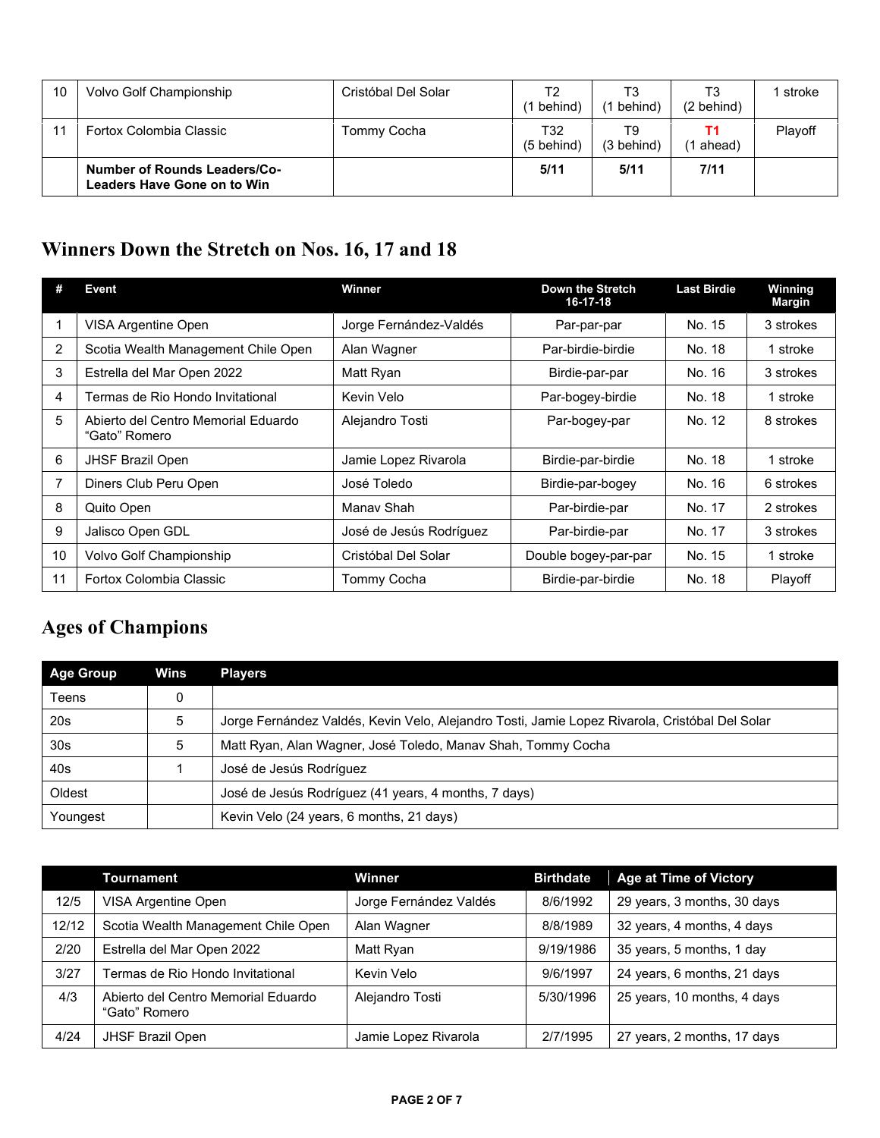| 10 | Volvo Golf Championship                                            | Cristóbal Del Solar | T2<br>behind)               | T3<br>behind)                | T3<br>(2 behind) | stroke  |
|----|--------------------------------------------------------------------|---------------------|-----------------------------|------------------------------|------------------|---------|
|    | Fortox Colombia Classic                                            | Tommy Cocha         | T32<br>$(5 \text{ behind})$ | T9<br>$(3 \, \text{behind})$ | (1 ahead)        | Plavoff |
|    | <b>Number of Rounds Leaders/Co-</b><br>Leaders Have Gone on to Win |                     | 5/11                        | 5/11                         | 7/11             |         |

### **Winners Down the Stretch on Nos. 16, 17 and 18**

|                | Event                                                | Winner                  | Down the Stretch<br>16-17-18 | <b>Last Birdie</b> | Winning<br><b>Margin</b> |
|----------------|------------------------------------------------------|-------------------------|------------------------------|--------------------|--------------------------|
|                | VISA Argentine Open                                  | Jorge Fernández-Valdés  | Par-par-par                  | No. 15             | 3 strokes                |
| $\overline{2}$ | Scotia Wealth Management Chile Open                  | Alan Wagner             | Par-birdie-birdie            | No. 18             | 1 stroke                 |
| 3              | Estrella del Mar Open 2022                           | Matt Ryan               | Birdie-par-par               | No. 16             | 3 strokes                |
| 4              | Fermas de Rio Hondo Invitational                     | Kevin Velo              | Par-bogey-birdie             | No. 18             | 1 stroke                 |
| 5              | Abierto del Centro Memorial Eduardo<br>"Gato" Romero | Alejandro Tosti         | Par-bogey-par                | No. 12             | 8 strokes                |
| 6              | <b>JHSF Brazil Open</b>                              | Jamie Lopez Rivarola    | Birdie-par-birdie            | No. 18             | 1 stroke                 |
|                | Diners Club Peru Open                                | José Toledo             | Birdie-par-bogey             | No. 16             | 6 strokes                |
| 8              | Quito Open                                           | Manay Shah              | Par-birdie-par               | No. 17             | 2 strokes                |
| 9              | Jalisco Open GDL                                     | José de Jesús Rodríguez | Par-birdie-par               | No. 17             | 3 strokes                |
| 10             | Volvo Golf Championship                              | Cristóbal Del Solar     | Double bogey-par-par         | No. 15             | 1 stroke                 |
| 11             | Fortox Colombia Classic                              | <b>Tommy Cocha</b>      | Birdie-par-birdie            | No. 18             | Playoff                  |

## **Ages of Champions**

| <b>Age Group</b> | Wins | <b>Players</b>                                                                                 |
|------------------|------|------------------------------------------------------------------------------------------------|
| Teens            |      |                                                                                                |
| 20s              | 5    | Jorge Fernández Valdés, Kevin Velo, Alejandro Tosti, Jamie Lopez Rivarola, Cristóbal Del Solar |
| 30 <sub>s</sub>  | 5    | Matt Ryan, Alan Wagner, José Toledo, Manay Shah, Tommy Cocha                                   |
| 40s              |      | José de Jesús Rodríguez                                                                        |
| Oldest           |      | José de Jesús Rodríguez (41 years, 4 months, 7 days)                                           |
| Youngest         |      | Kevin Velo (24 years, 6 months, 21 days)                                                       |

|       | Tournament                                           | Winner                 | <b>Birthdate</b> | <b>Age at Time of Victory</b> |
|-------|------------------------------------------------------|------------------------|------------------|-------------------------------|
| 12/5  | VISA Argentine Open                                  | Jorge Fernández Valdés | 8/6/1992         | 29 years, 3 months, 30 days   |
| 12/12 | Scotia Wealth Management Chile Open                  | Alan Wagner            | 8/8/1989         | 32 years, 4 months, 4 days    |
| 2/20  | Estrella del Mar Open 2022                           | Matt Ryan              | 9/19/1986        | 35 years, 5 months, 1 day     |
| 3/27  | Termas de Rio Hondo Invitational                     | Kevin Velo             | 9/6/1997         | 24 years, 6 months, 21 days   |
| 4/3   | Abierto del Centro Memorial Eduardo<br>"Gato" Romero | Alejandro Tosti        | 5/30/1996        | 25 years, 10 months, 4 days   |
| 4/24  | <b>JHSF Brazil Open</b>                              | Jamie Lopez Rivarola   | 2/7/1995         | 27 years, 2 months, 17 days   |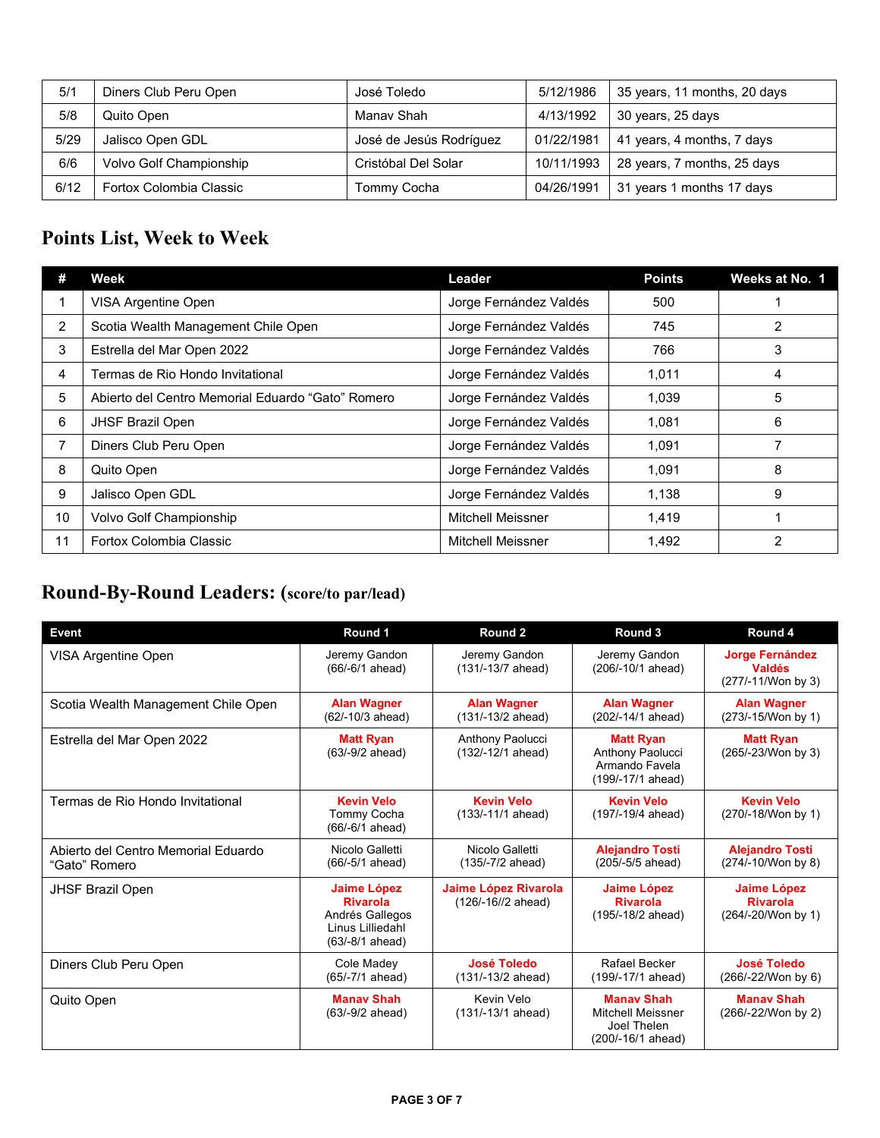| 5/1  | Diners Club Peru Open   | José Toledo             | 5/12/1986  | 35 years, 11 months, 20 days |
|------|-------------------------|-------------------------|------------|------------------------------|
| 5/8  | Quito Open              | Manav Shah              | 4/13/1992  | 30 years, 25 days            |
| 5/29 | Jalisco Open GDL        | José de Jesús Rodríguez | 01/22/1981 | 41 years, 4 months, 7 days   |
| 6/6  | Volvo Golf Championship | Cristóbal Del Solar     | 10/11/1993 | 28 years, 7 months, 25 days  |
| 6/12 | Fortox Colombia Classic | Tommy Cocha             | 04/26/1991 | 31 years 1 months 17 days    |

### **Points List, Week to Week**

| #  | Week                                              | Leader                   | <b>Points</b> | Weeks at No. 1 |
|----|---------------------------------------------------|--------------------------|---------------|----------------|
|    | VISA Argentine Open                               | Jorge Fernández Valdés   | 500           |                |
| 2  | Scotia Wealth Management Chile Open               | Jorge Fernández Valdés   | 745           | 2              |
| 3  | Estrella del Mar Open 2022                        | Jorge Fernández Valdés   | 766           | 3              |
| 4  | Termas de Rio Hondo Invitational                  | Jorge Fernández Valdés   | 1.011         | 4              |
| 5  | Abierto del Centro Memorial Eduardo "Gato" Romero | Jorge Fernández Valdés   | 1.039         | 5              |
| 6  | <b>JHSF Brazil Open</b>                           | Jorge Fernández Valdés   | 1.081         | 6              |
| 7  | Diners Club Peru Open                             | Jorge Fernández Valdés   | 1.091         |                |
| 8  | Quito Open                                        | Jorge Fernández Valdés   | 1,091         | 8              |
| 9  | Jalisco Open GDL                                  | Jorge Fernández Valdés   | 1,138         | 9              |
| 10 | Volvo Golf Championship                           | <b>Mitchell Meissner</b> | 1,419         |                |
| 11 | Fortox Colombia Classic                           | Mitchell Meissner        | 1,492         | $\overline{2}$ |

## **Round-By-Round Leaders: (score/to par/lead)**

| <b>Event</b>                                         | Round 1                                                                                         | Round 2                                           | Round 3                                                                           | Round 4                                                       |
|------------------------------------------------------|-------------------------------------------------------------------------------------------------|---------------------------------------------------|-----------------------------------------------------------------------------------|---------------------------------------------------------------|
| VISA Argentine Open                                  | Jeremy Gandon<br>$(66/-6/1$ ahead)                                                              | Jeremy Gandon<br>(131/-13/7 ahead)                | Jeremy Gandon<br>(206/-10/1 ahead)                                                | <b>Jorge Fernández</b><br><b>Valdés</b><br>(277/-11/Won by 3) |
| Scotia Wealth Management Chile Open                  | <b>Alan Wagner</b><br>(62/-10/3 ahead)                                                          | <b>Alan Wagner</b><br>(131/-13/2 ahead)           | <b>Alan Wagner</b><br>(202/-14/1 ahead)                                           | <b>Alan Wagner</b><br>(273/-15/Won by 1)                      |
| Estrella del Mar Open 2022                           | <b>Matt Ryan</b><br>$(63/-9/2$ ahead)                                                           | Anthony Paolucci<br>(132/-12/1 ahead)             | <b>Matt Ryan</b><br>Anthony Paolucci<br>Armando Favela<br>(199/-17/1 ahead)       | <b>Matt Ryan</b><br>(265/-23/Won by 3)                        |
| Termas de Rio Hondo Invitational                     | <b>Kevin Velo</b><br>Tommy Cocha<br>(66/-6/1 ahead)                                             | <b>Kevin Velo</b><br>$(133/-11/1$ ahead)          | <b>Kevin Velo</b><br>(197/-19/4 ahead)                                            | <b>Kevin Velo</b><br>(270/-18/Won by 1)                       |
| Abierto del Centro Memorial Eduardo<br>"Gato" Romero | Nicolo Galletti<br>(66/-5/1 ahead)                                                              | Nicolo Galletti<br>(135/-7/2 ahead)               | <b>Alejandro Tosti</b><br>(205/-5/5 ahead)                                        | <b>Alejandro Tosti</b><br>(274/-10/Won by 8)                  |
| <b>JHSF Brazil Open</b>                              | <b>Jaime López</b><br><b>Rivarola</b><br>Andrés Gallegos<br>Linus Lilliedahl<br>(63/-8/1 ahead) | <b>Jaime López Rivarola</b><br>(126/-16//2 ahead) | <b>Jaime López</b><br><b>Rivarola</b><br>(195/-18/2 ahead)                        | <b>Jaime López</b><br><b>Rivarola</b><br>(264/-20/Won by 1)   |
| Diners Club Peru Open                                | Cole Madev<br>(65/-7/1 ahead)                                                                   | <b>José Toledo</b><br>$(131/-13/2 \text{ ahead})$ | Rafael Becker<br>(199/-17/1 ahead)                                                | <b>José Toledo</b><br>(266/-22/Won by 6)                      |
| Quito Open                                           | <b>Manay Shah</b><br>$(63/-9/2$ ahead)                                                          | Kevin Velo<br>$(131/-13/1$ ahead)                 | <b>Manay Shah</b><br><b>Mitchell Meissner</b><br>Joel Thelen<br>(200/-16/1 ahead) | <b>Manay Shah</b><br>(266/-22/Won by 2)                       |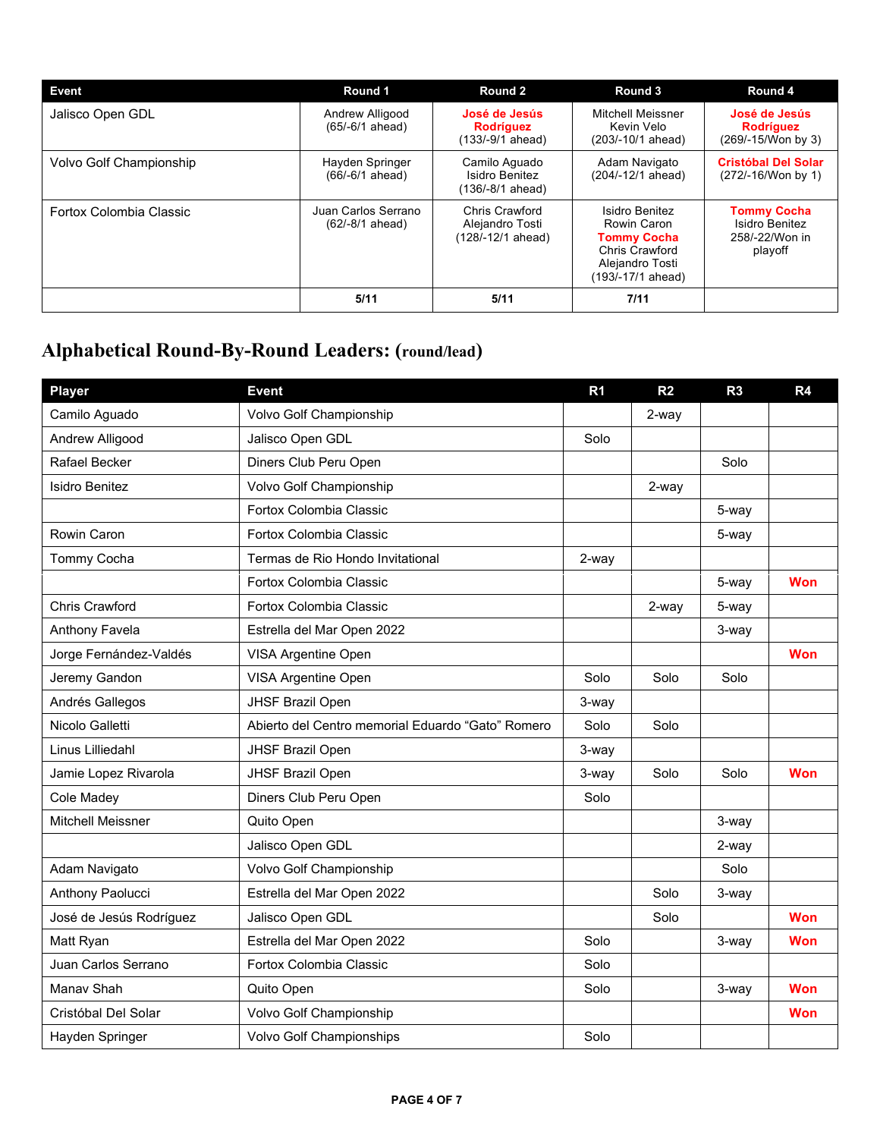| Event                                                                                                                           | Round 1                              | Round 2                                                                                                       | Round 3                                                           | Round 4                                                 |
|---------------------------------------------------------------------------------------------------------------------------------|--------------------------------------|---------------------------------------------------------------------------------------------------------------|-------------------------------------------------------------------|---------------------------------------------------------|
| Jalisco Open GDL                                                                                                                | Andrew Alligood<br>$(65/-6/1$ ahead) | José de Jesús<br><b>Rodríguez</b><br>$(133/-9/1$ ahead)                                                       | Mitchell Meissner<br>Kevin Velo<br>(203/-10/1 ahead)              | José de Jesús<br><b>Rodríguez</b><br>(269/-15/Won by 3) |
| Volvo Golf Championship                                                                                                         | Hayden Springer<br>$(66/-6/1$ ahead) | Camilo Aquado<br>Isidro Benitez<br>$(136/-8/1$ ahead)                                                         | Adam Navigato<br>(204/-12/1 ahead)                                | <b>Cristóbal Del Solar</b><br>(272/-16/Won by 1)        |
| Chris Crawford<br>Juan Carlos Serrano<br>Fortox Colombia Classic<br>$(62/-8/1$ ahead)<br>Alejandro Tosti<br>$(128/-12/1$ ahead) |                                      | Isidro Benitez<br>Rowin Caron<br><b>Tommy Cocha</b><br>Chris Crawford<br>Alejandro Tosti<br>(193/-17/1 ahead) | <b>Tommy Cocha</b><br>Isidro Benitez<br>258/-22/Won in<br>playoff |                                                         |
|                                                                                                                                 | 5/11                                 | 5/11                                                                                                          | 7/11                                                              |                                                         |

# **Alphabetical Round-By-Round Leaders: (round/lead)**

| <b>Player</b>            | <b>Event</b>                                      | R <sub>1</sub> | R <sub>2</sub> | R <sub>3</sub> | R4         |
|--------------------------|---------------------------------------------------|----------------|----------------|----------------|------------|
| Camilo Aguado            | Volvo Golf Championship                           |                | 2-way          |                |            |
| Andrew Alligood          | Jalisco Open GDL                                  | Solo           |                |                |            |
| Rafael Becker            | Diners Club Peru Open                             |                |                | Solo           |            |
| <b>Isidro Benitez</b>    | Volvo Golf Championship                           |                | 2-way          |                |            |
|                          | Fortox Colombia Classic                           |                |                | 5-way          |            |
| Rowin Caron              | Fortox Colombia Classic                           |                |                | 5-way          |            |
| Tommy Cocha              | Termas de Rio Hondo Invitational                  | 2-way          |                |                |            |
|                          | Fortox Colombia Classic                           |                |                | 5-way          | Won        |
| <b>Chris Crawford</b>    | Fortox Colombia Classic                           |                | 2-way          | 5-way          |            |
| Anthony Favela           | Estrella del Mar Open 2022                        |                |                | 3-way          |            |
| Jorge Fernández-Valdés   | VISA Argentine Open                               |                |                |                | Won        |
| Jeremy Gandon            | VISA Argentine Open                               | Solo           | Solo           | Solo           |            |
| Andrés Gallegos          | JHSF Brazil Open                                  | 3-way          |                |                |            |
| Nicolo Galletti          | Abierto del Centro memorial Eduardo "Gato" Romero | Solo           | Solo           |                |            |
| Linus Lilliedahl         | JHSF Brazil Open                                  | 3-way          |                |                |            |
| Jamie Lopez Rivarola     | JHSF Brazil Open                                  | 3-way          | Solo           | Solo           | <b>Won</b> |
| Cole Madey               | Diners Club Peru Open                             | Solo           |                |                |            |
| <b>Mitchell Meissner</b> | Quito Open                                        |                |                | 3-way          |            |
|                          | Jalisco Open GDL                                  |                |                | 2-way          |            |
| Adam Navigato            | Volvo Golf Championship                           |                |                | Solo           |            |
| Anthony Paolucci         | Estrella del Mar Open 2022                        |                | Solo           | 3-way          |            |
| José de Jesús Rodríguez  | Jalisco Open GDL                                  |                | Solo           |                | Won        |
| Matt Ryan                | Estrella del Mar Open 2022                        | Solo           |                | 3-way          | Won        |
| Juan Carlos Serrano      | Fortox Colombia Classic                           | Solo           |                |                |            |
| Manav Shah               | Quito Open                                        | Solo           |                | 3-way          | <b>Won</b> |
| Cristóbal Del Solar      | Volvo Golf Championship                           |                |                |                | Won        |
| Hayden Springer          | Volvo Golf Championships                          | Solo           |                |                |            |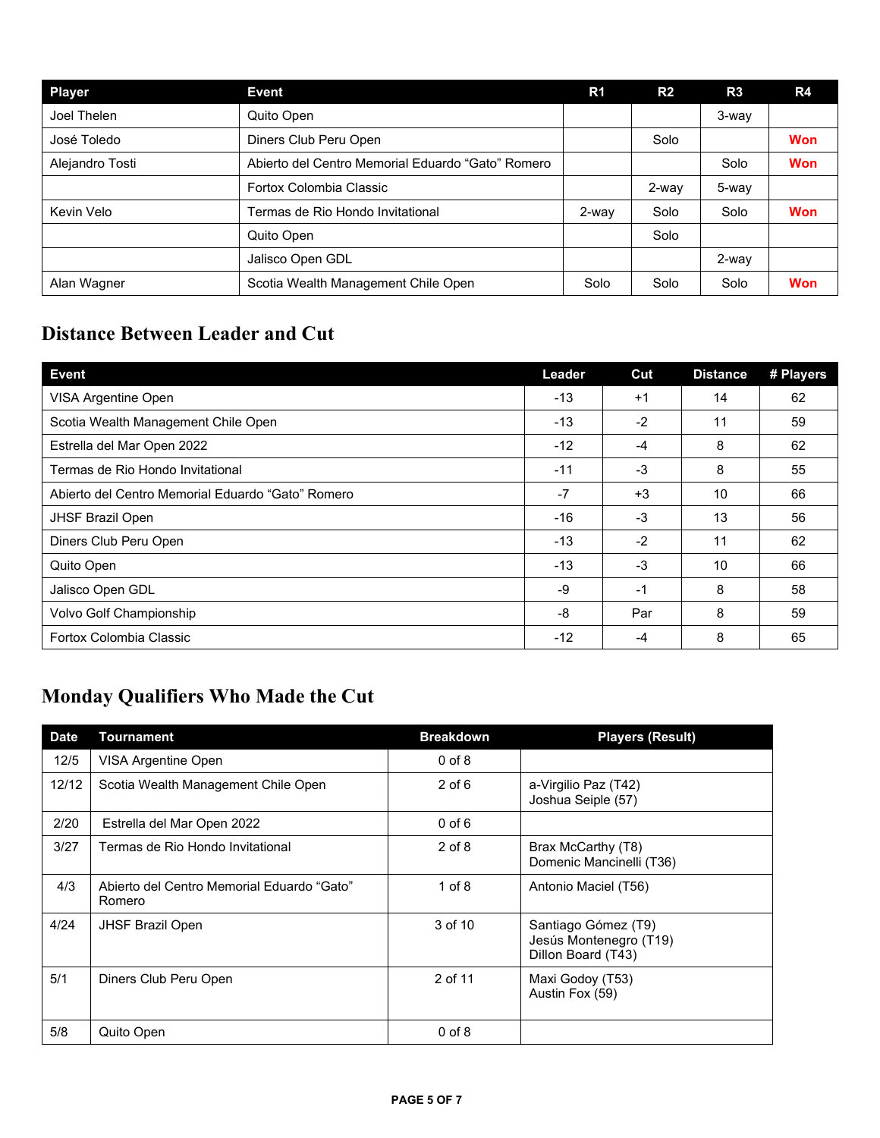| <b>Player</b>   | Event                                             | R1    | R <sub>2</sub> | R3    | R4         |
|-----------------|---------------------------------------------------|-------|----------------|-------|------------|
| Joel Thelen     | Quito Open                                        |       |                | 3-way |            |
| José Toledo     | Diners Club Peru Open                             |       | Solo           |       | <b>Won</b> |
| Alejandro Tosti | Abierto del Centro Memorial Eduardo "Gato" Romero |       |                | Solo  | <b>Won</b> |
|                 | Fortox Colombia Classic                           |       | 2-way          | 5-way |            |
| Kevin Velo      | Termas de Rio Hondo Invitational                  | 2-way | Solo           | Solo  | <b>Won</b> |
|                 | Quito Open                                        |       | Solo           |       |            |
|                 | Jalisco Open GDL                                  |       |                | 2-way |            |
| Alan Wagner     | Scotia Wealth Management Chile Open               | Solo  | Solo           | Solo  | <b>Won</b> |

### **Distance Between Leader and Cut**

| <b>Event</b>                                      | Leader | Cut  | <b>Distance</b> | # Players |
|---------------------------------------------------|--------|------|-----------------|-----------|
| VISA Argentine Open                               | $-13$  | $+1$ | 14              | 62        |
| Scotia Wealth Management Chile Open               | $-13$  | $-2$ | 11              | 59        |
| Estrella del Mar Open 2022                        | $-12$  | $-4$ | 8               | 62        |
| Termas de Rio Hondo Invitational                  | $-11$  | -3   | 8               | 55        |
| Abierto del Centro Memorial Eduardo "Gato" Romero | $-7$   | $+3$ | 10              | 66        |
| <b>JHSF Brazil Open</b>                           | $-16$  | -3   | 13              | 56        |
| Diners Club Peru Open                             | $-13$  | $-2$ | 11              | 62        |
| Quito Open                                        | $-13$  | $-3$ | 10              | 66        |
| Jalisco Open GDL                                  | -9     | -1   | 8               | 58        |
| Volvo Golf Championship                           | -8     | Par  | 8               | 59        |
| Fortox Colombia Classic                           | $-12$  | $-4$ | 8               | 65        |

## **Monday Qualifiers Who Made the Cut**

| <b>Date</b> | Tournament                                           | <b>Breakdown</b> | <b>Players (Result)</b>                                             |
|-------------|------------------------------------------------------|------------------|---------------------------------------------------------------------|
| 12/5        | VISA Argentine Open                                  | $0$ of $8$       |                                                                     |
| 12/12       | Scotia Wealth Management Chile Open                  | $2$ of $6$       | a-Virgilio Paz (T42)<br>Joshua Seiple (57)                          |
| 2/20        | Estrella del Mar Open 2022                           | $0$ of $6$       |                                                                     |
| 3/27        | Termas de Rio Hondo Invitational                     | $2$ of $8$       | Brax McCarthy (T8)<br>Domenic Mancinelli (T36)                      |
| 4/3         | Abierto del Centro Memorial Eduardo "Gato"<br>Romero | $1$ of $8$       | Antonio Maciel (T56)                                                |
| 4/24        | <b>JHSF Brazil Open</b>                              | 3 of 10          | Santiago Gómez (T9)<br>Jesús Montenegro (T19)<br>Dillon Board (T43) |
| 5/1         | Diners Club Peru Open                                | 2 of 11          | Maxi Godoy (T53)<br>Austin Fox (59)                                 |
| 5/8         | Quito Open                                           | $0$ of $8$       |                                                                     |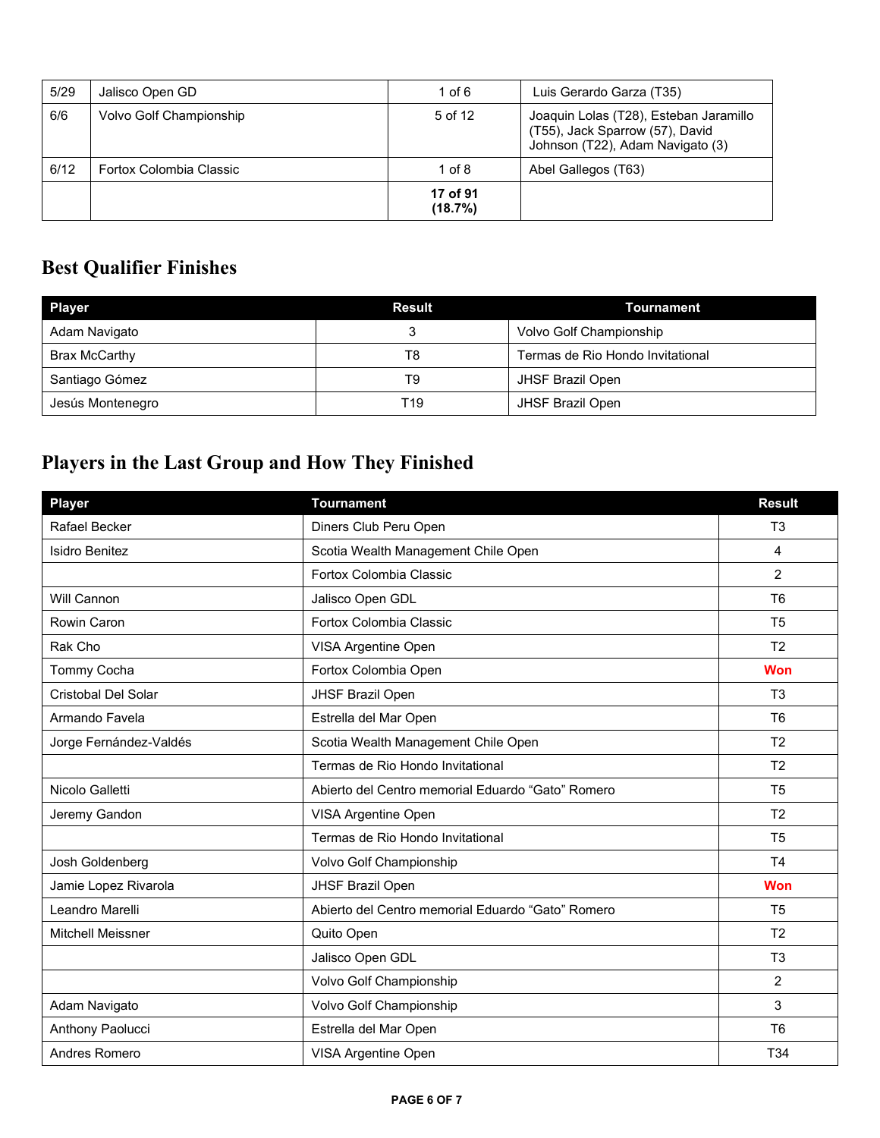| 5/29 | Jalisco Open GD         | 1 of $6$            | Luis Gerardo Garza (T35)                                                                                      |
|------|-------------------------|---------------------|---------------------------------------------------------------------------------------------------------------|
| 6/6  | Volvo Golf Championship | 5 of 12             | Joaquin Lolas (T28), Esteban Jaramillo<br>(T55), Jack Sparrow (57), David<br>Johnson (T22), Adam Navigato (3) |
| 6/12 | Fortox Colombia Classic | $1$ of $8$          | Abel Gallegos (T63)                                                                                           |
|      |                         | 17 of 91<br>(18.7%) |                                                                                                               |

### **Best Qualifier Finishes**

| <b>Player</b>    | <b>Result</b> | Tournament                       |  |
|------------------|---------------|----------------------------------|--|
| Adam Navigato    |               | Volvo Golf Championship          |  |
| Brax McCarthy    | T8            | Termas de Rio Hondo Invitational |  |
| Santiago Gómez   | T9            | JHSF Brazil Open                 |  |
| Jesús Montenegro | T19           | <b>JHSF Brazil Open</b>          |  |

## **Players in the Last Group and How They Finished**

| <b>Player</b>            | <b>Tournament</b>                                 | <b>Result</b>   |
|--------------------------|---------------------------------------------------|-----------------|
| Rafael Becker            | Diners Club Peru Open                             | T <sub>3</sub>  |
| <b>Isidro Benitez</b>    | Scotia Wealth Management Chile Open               | $\overline{4}$  |
|                          | Fortox Colombia Classic                           | $\overline{2}$  |
| Will Cannon              | Jalisco Open GDL                                  | T <sub>6</sub>  |
| Rowin Caron              | Fortox Colombia Classic                           | T <sub>5</sub>  |
| Rak Cho                  | VISA Argentine Open                               | T <sub>2</sub>  |
| Tommy Cocha              | Fortox Colombia Open                              | <b>Won</b>      |
| Cristobal Del Solar      | JHSF Brazil Open                                  | T <sub>3</sub>  |
| Armando Favela           | Estrella del Mar Open                             | T <sub>6</sub>  |
| Jorge Fernández-Valdés   | Scotia Wealth Management Chile Open               | T <sub>2</sub>  |
|                          | Termas de Rio Hondo Invitational                  | T <sub>2</sub>  |
| Nicolo Galletti          | Abierto del Centro memorial Eduardo "Gato" Romero | T <sub>5</sub>  |
| Jeremy Gandon            | VISA Argentine Open                               | T <sub>2</sub>  |
|                          | Termas de Rio Hondo Invitational                  | T <sub>5</sub>  |
| Josh Goldenberg          | Volvo Golf Championship                           | T <sub>4</sub>  |
| Jamie Lopez Rivarola     | JHSF Brazil Open                                  | <b>Won</b>      |
| Leandro Marelli          | Abierto del Centro memorial Eduardo "Gato" Romero | T <sub>5</sub>  |
| <b>Mitchell Meissner</b> | Quito Open                                        | T <sub>2</sub>  |
|                          | Jalisco Open GDL                                  | T <sub>3</sub>  |
|                          | Volvo Golf Championship                           | 2               |
| Adam Navigato            | Volvo Golf Championship                           | 3               |
| Anthony Paolucci         | Estrella del Mar Open                             | T <sub>6</sub>  |
| Andres Romero            | VISA Argentine Open                               | T <sub>34</sub> |